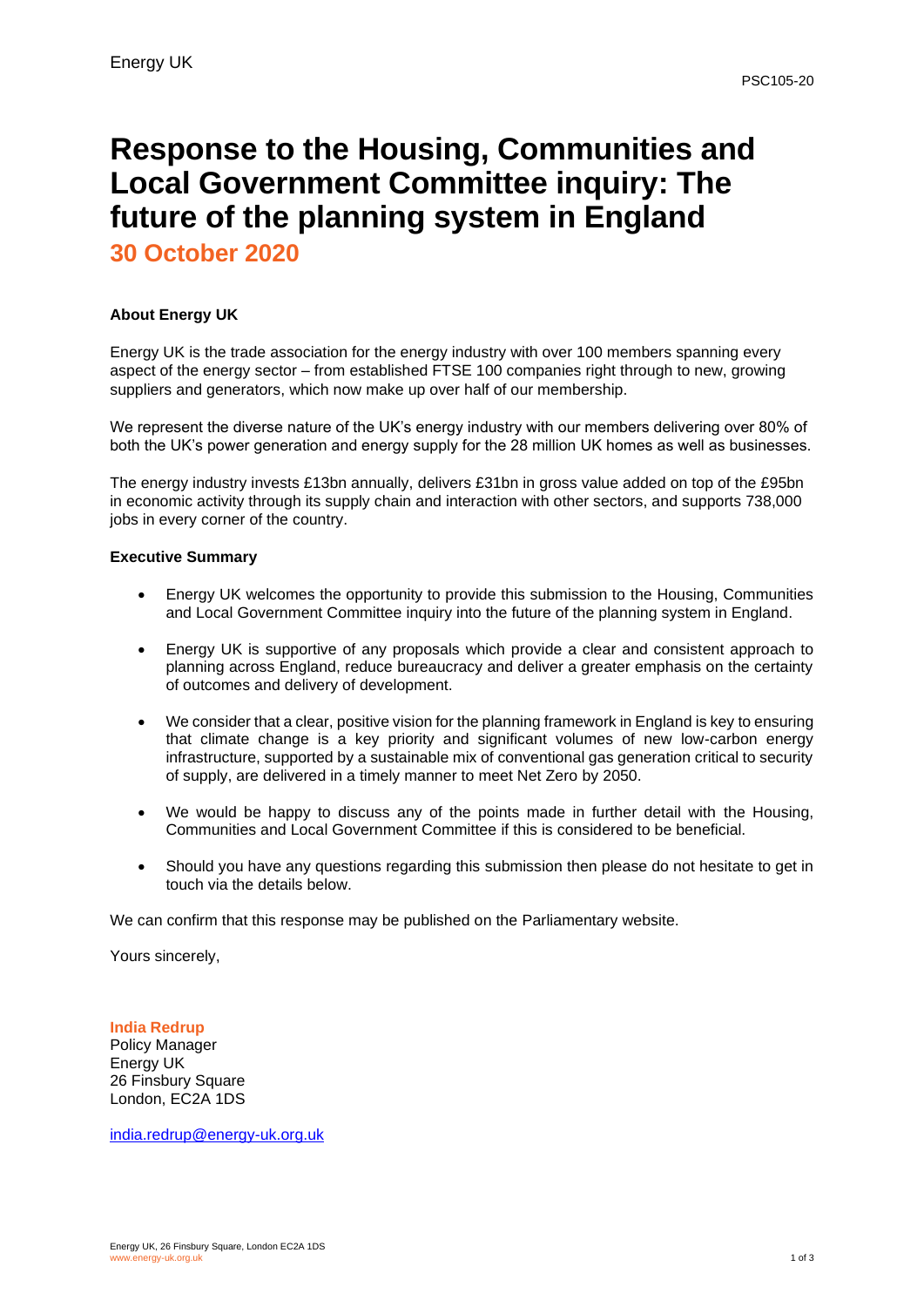# **Response to the Housing, Communities and Local Government Committee inquiry: The future of the planning system in England**

**30 October 2020**

## **About Energy UK**

Energy UK is the trade association for the energy industry with over 100 members spanning every aspect of the energy sector – from established FTSE 100 companies right through to new, growing suppliers and generators, which now make up over half of our membership.

We represent the diverse nature of the UK's energy industry with our members delivering over 80% of both the UK's power generation and energy supply for the 28 million UK homes as well as businesses.

The energy industry invests £13bn annually, delivers £31bn in gross value added on top of the £95bn in economic activity through its supply chain and interaction with other sectors, and supports 738,000 jobs in every corner of the country.

#### **Executive Summary**

- Energy UK welcomes the opportunity to provide this submission to the Housing, Communities and Local Government Committee inquiry into the future of the planning system in England.
- Energy UK is supportive of any proposals which provide a clear and consistent approach to planning across England, reduce bureaucracy and deliver a greater emphasis on the certainty of outcomes and delivery of development.
- We consider that a clear, positive vision for the planning framework in England is key to ensuring that climate change is a key priority and significant volumes of new low-carbon energy infrastructure, supported by a sustainable mix of conventional gas generation critical to security of supply, are delivered in a timely manner to meet Net Zero by 2050.
- We would be happy to discuss any of the points made in further detail with the Housing, Communities and Local Government Committee if this is considered to be beneficial.
- Should you have any questions regarding this submission then please do not hesitate to get in touch via the details below.

We can confirm that this response may be published on the Parliamentary website.

Yours sincerely,

**India Redrup** Policy Manager Energy UK 26 Finsbury Square London, EC2A 1DS

[india.redrup@energy-uk.org.uk](mailto:india.redrup@energy-uk.org.uk)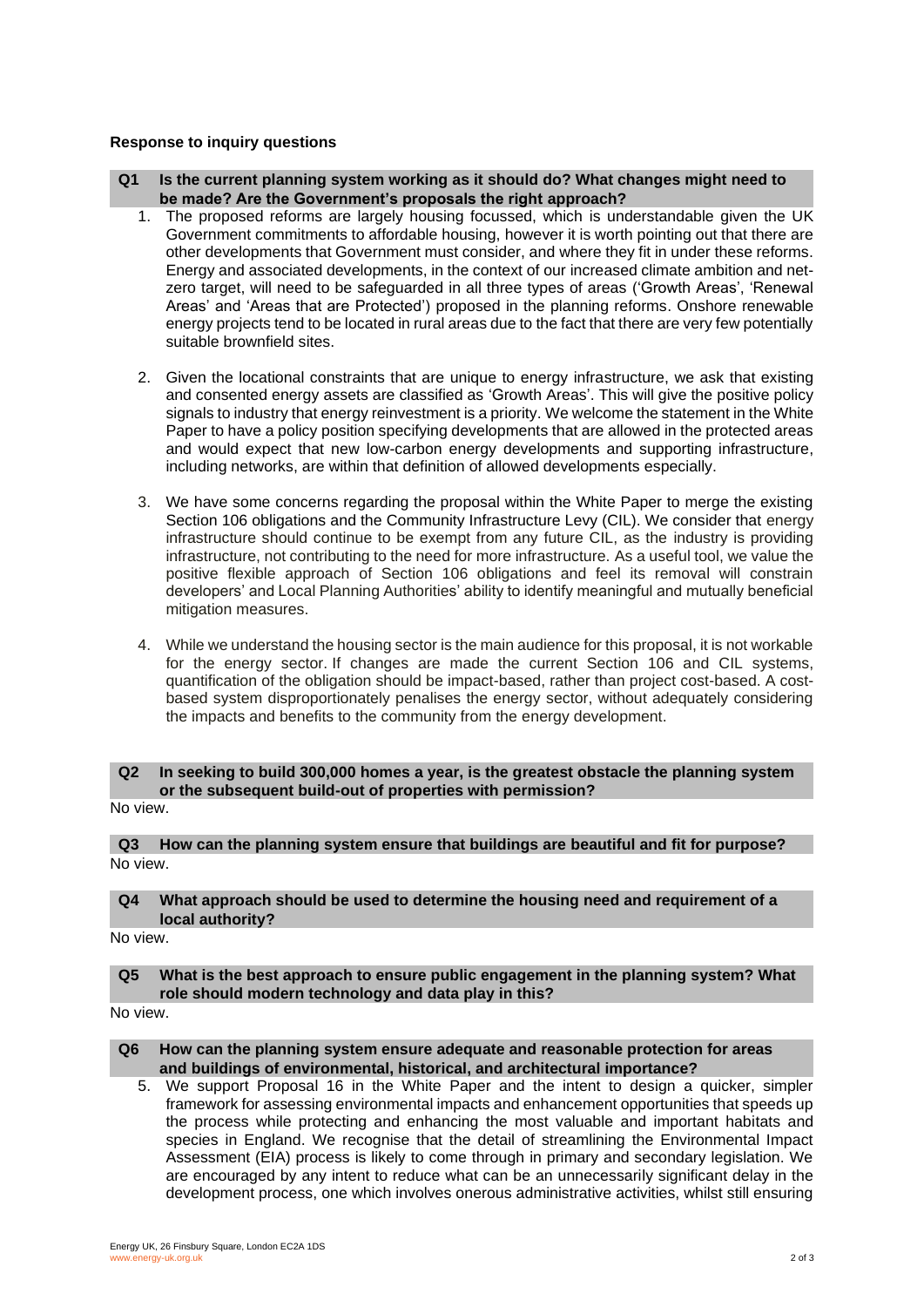#### **Response to inquiry questions**

- **Q1 Is the current planning system working as it should do? What changes might need to be made? Are the Government's proposals the right approach?**
	- 1. The proposed reforms are largely housing focussed, which is understandable given the UK Government commitments to affordable housing, however it is worth pointing out that there are other developments that Government must consider, and where they fit in under these reforms. Energy and associated developments, in the context of our increased climate ambition and netzero target, will need to be safeguarded in all three types of areas ('Growth Areas', 'Renewal Areas' and 'Areas that are Protected') proposed in the planning reforms. Onshore renewable energy projects tend to be located in rural areas due to the fact that there are very few potentially suitable brownfield sites.
	- 2. Given the locational constraints that are unique to energy infrastructure, we ask that existing and consented energy assets are classified as 'Growth Areas'. This will give the positive policy signals to industry that energy reinvestment is a priority. We welcome the statement in the White Paper to have a policy position specifying developments that are allowed in the protected areas and would expect that new low-carbon energy developments and supporting infrastructure, including networks, are within that definition of allowed developments especially.
	- 3. We have some concerns regarding the proposal within the White Paper to merge the existing Section 106 obligations and the Community Infrastructure Levy (CIL). We consider that energy infrastructure should continue to be exempt from any future CIL, as the industry is providing infrastructure, not contributing to the need for more infrastructure. As a useful tool, we value the positive flexible approach of Section 106 obligations and feel its removal will constrain developers' and Local Planning Authorities' ability to identify meaningful and mutually beneficial mitigation measures.
	- 4. While we understand the housing sector is the main audience for this proposal, it is not workable for the energy sector. If changes are made the current Section 106 and CIL systems, quantification of the obligation should be impact-based, rather than project cost-based. A costbased system disproportionately penalises the energy sector, without adequately considering the impacts and benefits to the community from the energy development.

#### **Q2 In seeking to build 300,000 homes a year, is the greatest obstacle the planning system or the subsequent build-out of properties with permission?**

No view.

**Q3 How can the planning system ensure that buildings are beautiful and fit for purpose?** No view.

#### **Q4 What approach should be used to determine the housing need and requirement of a local authority?**

No view.

#### **Q5 What is the best approach to ensure public engagement in the planning system? What role should modern technology and data play in this?**

No view.

#### **Q6 How can the planning system ensure adequate and reasonable protection for areas and buildings of environmental, historical, and architectural importance?**

5. We support Proposal 16 in the White Paper and the intent to design a quicker, simpler framework for assessing environmental impacts and enhancement opportunities that speeds up the process while protecting and enhancing the most valuable and important habitats and species in England. We recognise that the detail of streamlining the Environmental Impact Assessment (EIA) process is likely to come through in primary and secondary legislation. We are encouraged by any intent to reduce what can be an unnecessarily significant delay in the development process, one which involves onerous administrative activities, whilst still ensuring